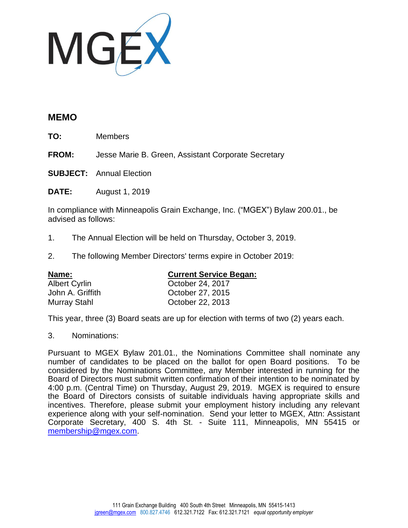

## **MEMO**

**TO:** Members

**FROM:** Jesse Marie B. Green, Assistant Corporate Secretary

**SUBJECT:** Annual Election

**DATE:** August 1, 2019

In compliance with Minneapolis Grain Exchange, Inc. ("MGEX") Bylaw 200.01., be advised as follows:

- 1. The Annual Election will be held on Thursday, October 3, 2019.
- 2. The following Member Directors' terms expire in October 2019:

| <b>Current Service Began:</b> |
|-------------------------------|
| October 24, 2017              |
| October 27, 2015              |
| October 22, 2013              |
|                               |

This year, three (3) Board seats are up for election with terms of two (2) years each.

## 3. Nominations:

Pursuant to MGEX Bylaw 201.01., the Nominations Committee shall nominate any number of candidates to be placed on the ballot for open Board positions. To be considered by the Nominations Committee, any Member interested in running for the Board of Directors must submit written confirmation of their intention to be nominated by 4:00 p.m. (Central Time) on Thursday, August 29, 2019. MGEX is required to ensure the Board of Directors consists of suitable individuals having appropriate skills and incentives. Therefore, please submit your employment history including any relevant experience along with your self-nomination. Send your letter to MGEX, Attn: Assistant Corporate Secretary, 400 S. 4th St. - Suite 111, Minneapolis, MN 55415 or [membership@mgex.com.](mailto:membership@mgex.com)